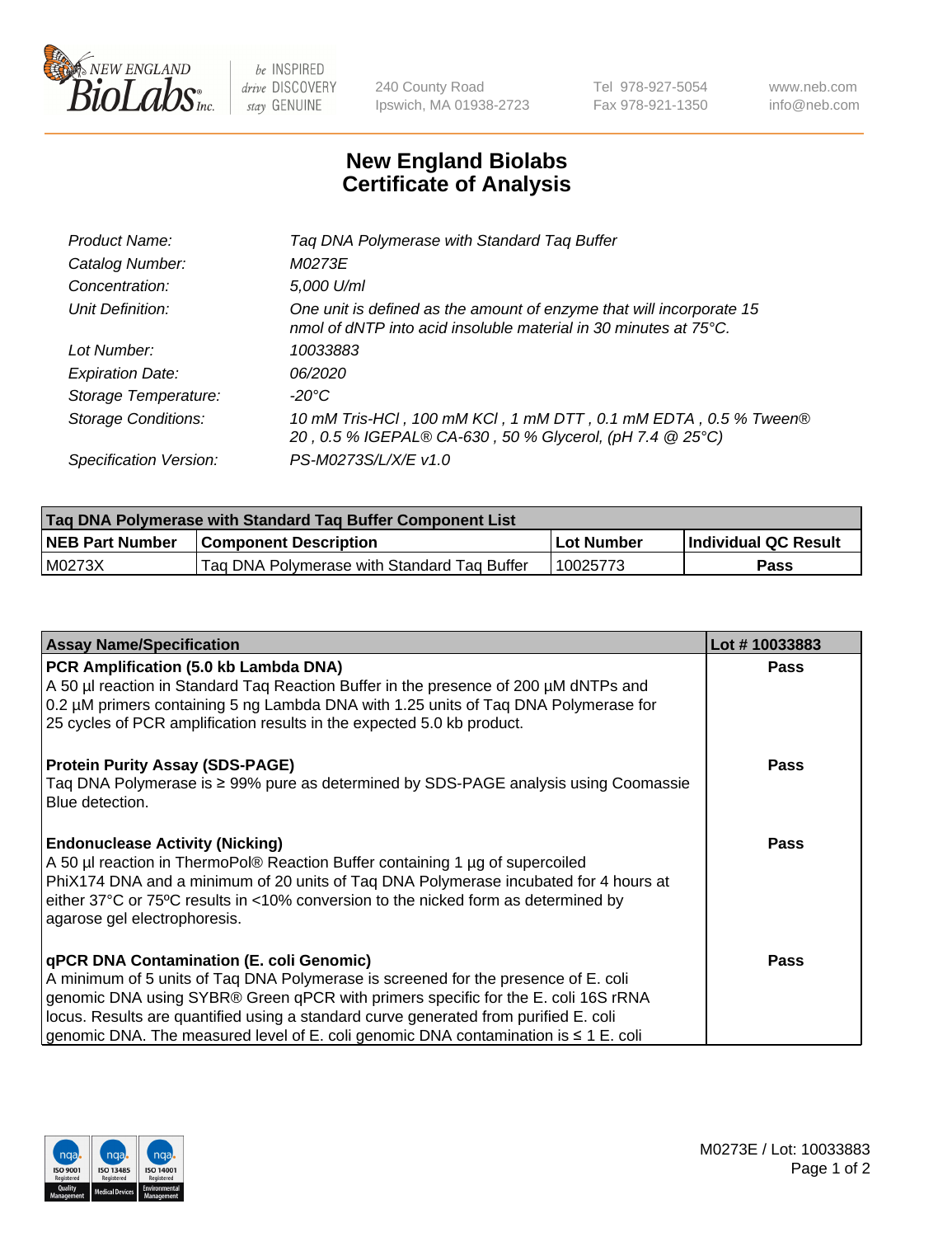

 $be$  INSPIRED drive DISCOVERY stay GENUINE

240 County Road Ipswich, MA 01938-2723 Tel 978-927-5054 Fax 978-921-1350 www.neb.com info@neb.com

## **New England Biolabs Certificate of Analysis**

| Tag DNA Polymerase with Standard Tag Buffer                                                                                              |
|------------------------------------------------------------------------------------------------------------------------------------------|
| M0273E                                                                                                                                   |
| 5,000 U/ml                                                                                                                               |
| One unit is defined as the amount of enzyme that will incorporate 15<br>nmol of dNTP into acid insoluble material in 30 minutes at 75°C. |
| 10033883                                                                                                                                 |
| 06/2020                                                                                                                                  |
| $-20^{\circ}$ C                                                                                                                          |
| 10 mM Tris-HCl, 100 mM KCl, 1 mM DTT, 0.1 mM EDTA, 0.5 % Tween®<br>20, 0.5 % IGEPAL® CA-630, 50 % Glycerol, (pH 7.4 @ 25°C)              |
| PS-M0273S/L/X/E v1.0                                                                                                                     |
|                                                                                                                                          |

| Tag DNA Polymerase with Standard Tag Buffer Component List |                                             |            |                      |  |  |
|------------------------------------------------------------|---------------------------------------------|------------|----------------------|--|--|
| <b>NEB Part Number</b>                                     | <b>Component Description</b>                | Lot Number | Individual QC Result |  |  |
| M0273X                                                     | Tag DNA Polymerase with Standard Tag Buffer | 10025773   | Pass                 |  |  |

| <b>Assay Name/Specification</b>                                                                                                                                                                                                                                                                                                                                                                         | Lot #10033883 |
|---------------------------------------------------------------------------------------------------------------------------------------------------------------------------------------------------------------------------------------------------------------------------------------------------------------------------------------------------------------------------------------------------------|---------------|
| PCR Amplification (5.0 kb Lambda DNA)<br>A 50 µl reaction in Standard Taq Reaction Buffer in the presence of 200 µM dNTPs and<br>0.2 µM primers containing 5 ng Lambda DNA with 1.25 units of Taq DNA Polymerase for<br>25 cycles of PCR amplification results in the expected 5.0 kb product.                                                                                                          | <b>Pass</b>   |
| <b>Protein Purity Assay (SDS-PAGE)</b><br>Taq DNA Polymerase is ≥ 99% pure as determined by SDS-PAGE analysis using Coomassie<br>Blue detection.                                                                                                                                                                                                                                                        | <b>Pass</b>   |
| <b>Endonuclease Activity (Nicking)</b><br>A 50 µl reaction in ThermoPol® Reaction Buffer containing 1 µg of supercoiled<br>PhiX174 DNA and a minimum of 20 units of Tag DNA Polymerase incubated for 4 hours at<br>either 37°C or 75°C results in <10% conversion to the nicked form as determined by<br>agarose gel electrophoresis.                                                                   | <b>Pass</b>   |
| qPCR DNA Contamination (E. coli Genomic)<br>A minimum of 5 units of Tag DNA Polymerase is screened for the presence of E. coli<br>genomic DNA using SYBR® Green qPCR with primers specific for the E. coli 16S rRNA<br>locus. Results are quantified using a standard curve generated from purified E. coli<br>genomic DNA. The measured level of E. coli genomic DNA contamination is $\leq 1$ E. coli | <b>Pass</b>   |